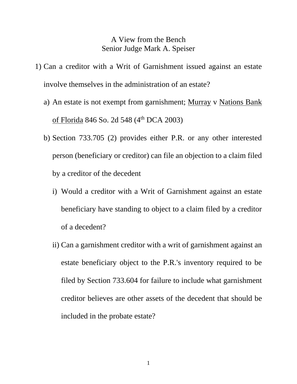## A View from the Bench Senior Judge Mark A. Speiser

- 1) Can a creditor with a Writ of Garnishment issued against an estate involve themselves in the administration of an estate?
	- a) An estate is not exempt from garnishment; Murray v Nations Bank of Florida 846 So. 2d 548 (4th DCA 2003)
	- b) Section 733.705 (2) provides either P.R. or any other interested person (beneficiary or creditor) can file an objection to a claim filed by a creditor of the decedent
		- i) Would a creditor with a Writ of Garnishment against an estate beneficiary have standing to object to a claim filed by a creditor of a decedent?
		- ii) Can a garnishment creditor with a writ of garnishment against an estate beneficiary object to the P.R.'s inventory required to be filed by Section 733.604 for failure to include what garnishment creditor believes are other assets of the decedent that should be included in the probate estate?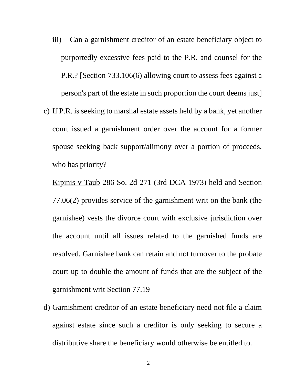- iii) Can a garnishment creditor of an estate beneficiary object to purportedly excessive fees paid to the P.R. and counsel for the P.R.? [Section 733.106(6) allowing court to assess fees against a person's part of the estate in such proportion the court deems just]
- c) If P.R. is seeking to marshal estate assets held by a bank, yet another court issued a garnishment order over the account for a former spouse seeking back support/alimony over a portion of proceeds, who has priority?

Kipinis v Taub 286 So. 2d 271 (3rd DCA 1973) held and Section 77.06(2) provides service of the garnishment writ on the bank (the garnishee) vests the divorce court with exclusive jurisdiction over the account until all issues related to the garnished funds are resolved. Garnishee bank can retain and not turnover to the probate court up to double the amount of funds that are the subject of the garnishment writ Section 77.19

d) Garnishment creditor of an estate beneficiary need not file a claim against estate since such a creditor is only seeking to secure a distributive share the beneficiary would otherwise be entitled to.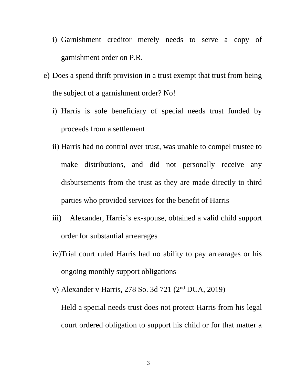- i) Garnishment creditor merely needs to serve a copy of garnishment order on P.R.
- e) Does a spend thrift provision in a trust exempt that trust from being the subject of a garnishment order? No!
	- i) Harris is sole beneficiary of special needs trust funded by proceeds from a settlement
	- ii) Harris had no control over trust, was unable to compel trustee to make distributions, and did not personally receive any disbursements from the trust as they are made directly to third parties who provided services for the benefit of Harris
	- iii) Alexander, Harris's ex-spouse, obtained a valid child support order for substantial arrearages
	- iv)Trial court ruled Harris had no ability to pay arrearages or his ongoing monthly support obligations
	- v) Alexander v Harris, 278 So. 3d 721 (2nd DCA, 2019)

Held a special needs trust does not protect Harris from his legal court ordered obligation to support his child or for that matter a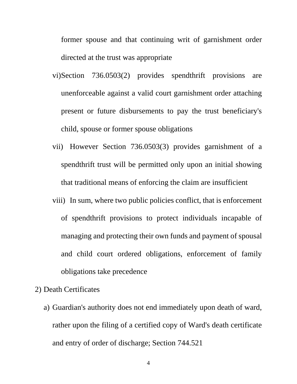former spouse and that continuing writ of garnishment order directed at the trust was appropriate

- vi)Section 736.0503(2) provides spendthrift provisions are unenforceable against a valid court garnishment order attaching present or future disbursements to pay the trust beneficiary's child, spouse or former spouse obligations
- vii) However Section 736.0503(3) provides garnishment of a spendthrift trust will be permitted only upon an initial showing that traditional means of enforcing the claim are insufficient
- viii) In sum, where two public policies conflict, that is enforcement of spendthrift provisions to protect individuals incapable of managing and protecting their own funds and payment of spousal and child court ordered obligations, enforcement of family obligations take precedence

# 2) Death Certificates

a) Guardian's authority does not end immediately upon death of ward, rather upon the filing of a certified copy of Ward's death certificate and entry of order of discharge; Section 744.521

4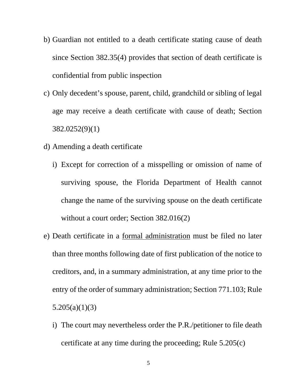- b) Guardian not entitled to a death certificate stating cause of death since Section 382.35(4) provides that section of death certificate is confidential from public inspection
- c) Only decedent's spouse, parent, child, grandchild or sibling of legal age may receive a death certificate with cause of death; Section 382.0252(9)(1)
- d) Amending a death certificate
	- i) Except for correction of a misspelling or omission of name of surviving spouse, the Florida Department of Health cannot change the name of the surviving spouse on the death certificate without a court order; Section 382.016(2)
- e) Death certificate in a formal administration must be filed no later than three months following date of first publication of the notice to creditors, and, in a summary administration, at any time prior to the entry of the order of summary administration; Section 771.103; Rule 5.205(a)(1)(3)
	- i) The court may nevertheless order the P.R./petitioner to file death certificate at any time during the proceeding; Rule 5.205(c)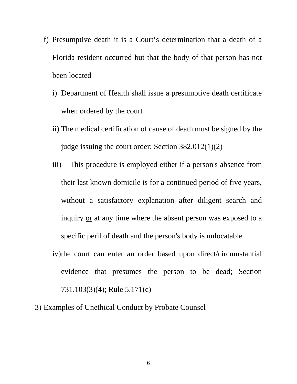- f) Presumptive death it is a Court's determination that a death of a Florida resident occurred but that the body of that person has not been located
	- i) Department of Health shall issue a presumptive death certificate when ordered by the court
	- ii) The medical certification of cause of death must be signed by the judge issuing the court order; Section  $382.012(1)(2)$
	- iii) This procedure is employed either if a person's absence from their last known domicile is for a continued period of five years, without a satisfactory explanation after diligent search and inquiry or at any time where the absent person was exposed to a specific peril of death and the person's body is unlocatable
	- iv)the court can enter an order based upon direct/circumstantial evidence that presumes the person to be dead; Section 731.103(3)(4); Rule 5.171(c)
- 3) Examples of Unethical Conduct by Probate Counsel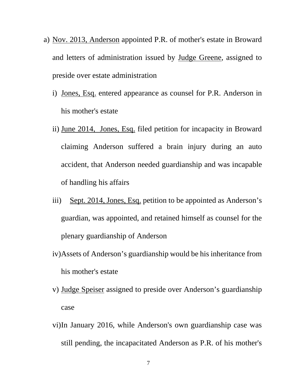- a) Nov. 2013, Anderson appointed P.R. of mother's estate in Broward and letters of administration issued by Judge Greene, assigned to preside over estate administration
	- i) Jones, Esq. entered appearance as counsel for P.R. Anderson in his mother's estate
	- ii) June 2014, Jones, Esq. filed petition for incapacity in Broward claiming Anderson suffered a brain injury during an auto accident, that Anderson needed guardianship and was incapable of handling his affairs
	- iii) Sept. 2014, Jones, Esq. petition to be appointed as Anderson's guardian, was appointed, and retained himself as counsel for the plenary guardianship of Anderson
	- iv)Assets of Anderson's guardianship would be his inheritance from his mother's estate
	- v) Judge Speiser assigned to preside over Anderson's guardianship case
	- vi)In January 2016, while Anderson's own guardianship case was still pending, the incapacitated Anderson as P.R. of his mother's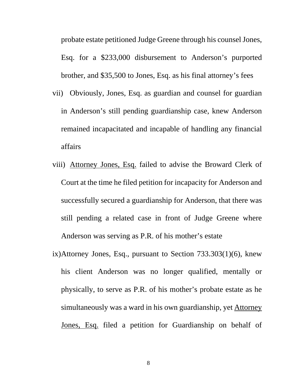probate estate petitioned Judge Greene through his counselJones, Esq. for a \$233,000 disbursement to Anderson's purported brother, and \$35,500 to Jones, Esq. as his final attorney's fees

- vii) Obviously, Jones, Esq. as guardian and counsel for guardian in Anderson's still pending guardianship case, knew Anderson remained incapacitated and incapable of handling any financial affairs
- viii) Attorney Jones, Esq. failed to advise the Broward Clerk of Court at the time he filed petition for incapacity for Anderson and successfully secured a guardianship for Anderson, that there was still pending a related case in front of Judge Greene where Anderson was serving as P.R. of his mother's estate
- ix)Attorney Jones, Esq., pursuant to Section 733.303(1)(6), knew his client Anderson was no longer qualified, mentally or physically, to serve as P.R. of his mother's probate estate as he simultaneously was a ward in his own guardianship, yet Attorney Jones, Esq. filed a petition for Guardianship on behalf of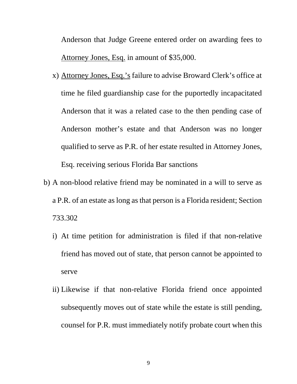Anderson that Judge Greene entered order on awarding fees to Attorney Jones, Esq. in amount of \$35,000.

- x) Attorney Jones, Esq.'s failure to advise Broward Clerk's office at time he filed guardianship case for the puportedly incapacitated Anderson that it was a related case to the then pending case of Anderson mother's estate and that Anderson was no longer qualified to serve as P.R. of her estate resulted in Attorney Jones, Esq. receiving serious Florida Bar sanctions
- b) A non-blood relative friend may be nominated in a will to serve as a P.R. of an estate as long as that person is a Florida resident; Section 733.302
	- i) At time petition for administration is filed if that non-relative friend has moved out of state, that person cannot be appointed to serve
	- ii) Likewise if that non-relative Florida friend once appointed subsequently moves out of state while the estate is still pending, counsel for P.R. must immediately notify probate court when this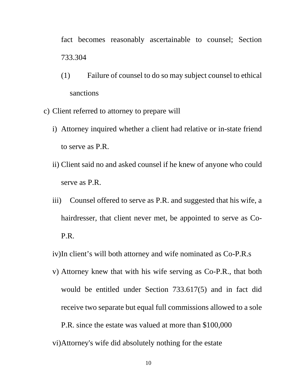fact becomes reasonably ascertainable to counsel; Section 733.304

- (1) Failure of counsel to do so may subject counsel to ethical sanctions
- c) Client referred to attorney to prepare will
	- i) Attorney inquired whether a client had relative or in-state friend to serve as P.R.
	- ii) Client said no and asked counsel if he knew of anyone who could serve as P.R.
	- iii) Counsel offered to serve as P.R. and suggested that his wife, a hairdresser, that client never met, be appointed to serve as Co-P.R.
	- iv)In client's will both attorney and wife nominated as Co-P.R.s
	- v) Attorney knew that with his wife serving as Co-P.R., that both would be entitled under Section 733.617(5) and in fact did receive two separate but equal full commissions allowed to a sole P.R. since the estate was valued at more than \$100,000
	- vi)Attorney's wife did absolutely nothing for the estate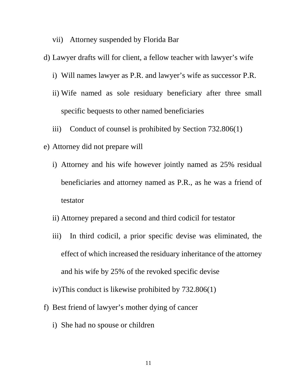- vii) Attorney suspended by Florida Bar
- d) Lawyer drafts will for client, a fellow teacher with lawyer's wife
	- i) Will names lawyer as P.R. and lawyer's wife as successor P.R.
	- ii) Wife named as sole residuary beneficiary after three small specific bequests to other named beneficiaries
	- iii) Conduct of counsel is prohibited by Section 732.806(1)
- e) Attorney did not prepare will
	- i) Attorney and his wife however jointly named as 25% residual beneficiaries and attorney named as P.R., as he was a friend of testator
	- ii) Attorney prepared a second and third codicil for testator
	- iii) In third codicil, a prior specific devise was eliminated, the effect of which increased the residuary inheritance of the attorney and his wife by 25% of the revoked specific devise

iv)This conduct is likewise prohibited by 732.806(1)

- f) Best friend of lawyer's mother dying of cancer
	- i) She had no spouse or children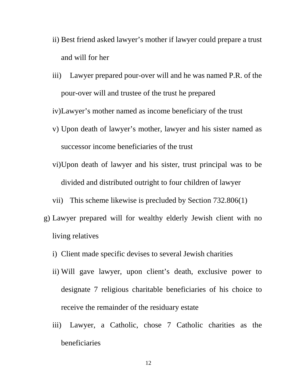- ii) Best friend asked lawyer's mother if lawyer could prepare a trust and will for her
- iii) Lawyer prepared pour-over will and he was named P.R. of the pour-over will and trustee of the trust he prepared

iv)Lawyer's mother named as income beneficiary of the trust

- v) Upon death of lawyer's mother, lawyer and his sister named as successor income beneficiaries of the trust
- vi)Upon death of lawyer and his sister, trust principal was to be divided and distributed outright to four children of lawyer
- vii) This scheme likewise is precluded by Section 732.806(1)
- g) Lawyer prepared will for wealthy elderly Jewish client with no living relatives
	- i) Client made specific devises to several Jewish charities
	- ii) Will gave lawyer, upon client's death, exclusive power to designate 7 religious charitable beneficiaries of his choice to receive the remainder of the residuary estate
	- iii) Lawyer, a Catholic, chose 7 Catholic charities as the beneficiaries

12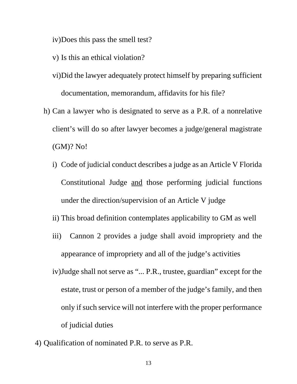iv)Does this pass the smell test?

- v) Is this an ethical violation?
- vi)Did the lawyer adequately protect himself by preparing sufficient documentation, memorandum, affidavits for his file?
- h) Can a lawyer who is designated to serve as a P.R. of a nonrelative client's will do so after lawyer becomes a judge/general magistrate (GM)? No!
	- i) Code of judicial conduct describes a judge as an Article V Florida Constitutional Judge and those performing judicial functions under the direction/supervision of an Article V judge
	- ii) This broad definition contemplates applicability to GM as well
	- iii) Cannon 2 provides a judge shall avoid impropriety and the appearance of impropriety and all of the judge's activities
	- iv)Judge shall not serve as "... P.R., trustee, guardian" except for the estate, trust or person of a member of the judge's family, and then only if such service will not interfere with the proper performance of judicial duties
- 4) Qualification of nominated P.R. to serve as P.R.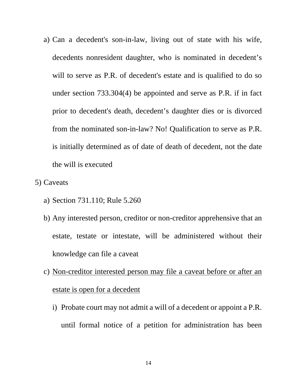- a) Can a decedent's son-in-law, living out of state with his wife, decedents nonresident daughter, who is nominated in decedent's will to serve as P.R. of decedent's estate and is qualified to do so under section 733.304(4) be appointed and serve as P.R. if in fact prior to decedent's death, decedent's daughter dies or is divorced from the nominated son-in-law? No! Qualification to serve as P.R. is initially determined as of date of death of decedent, not the date the will is executed
- 5) Caveats
	- a) Section 731.110; Rule 5.260
	- b) Any interested person, creditor or non-creditor apprehensive that an estate, testate or intestate, will be administered without their knowledge can file a caveat
	- c) Non-creditor interested person may file a caveat before or after an estate is open for a decedent
		- i) Probate court may not admit a will of a decedent or appoint a P.R. until formal notice of a petition for administration has been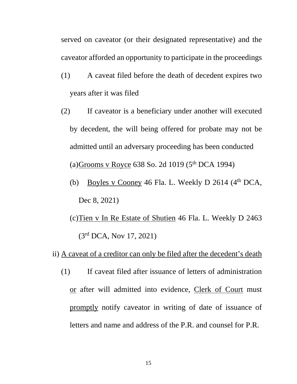served on caveator (or their designated representative) and the caveator afforded an opportunity to participate in the proceedings

- (1) A caveat filed before the death of decedent expires two years after it was filed
- (2) If caveator is a beneficiary under another will executed by decedent, the will being offered for probate may not be admitted until an adversary proceeding has been conducted (a)Grooms v Royce 638 So. 2d 1019 ( $5<sup>th</sup>$  DCA 1994)
	- (b) Boyles v Cooney 46 Fla. L. Weekly D 2614  $(4<sup>th</sup> DCA,$ Dec 8, 2021)
	- (c)Tien v In Re Estate of Shutien 46 Fla. L. Weekly D 2463 (3rd DCA, Nov 17, 2021)

## ii) A caveat of a creditor can only be filed after the decedent's death

(1) If caveat filed after issuance of letters of administration or after will admitted into evidence, Clerk of Court must promptly notify caveator in writing of date of issuance of letters and name and address of the P.R. and counsel for P.R.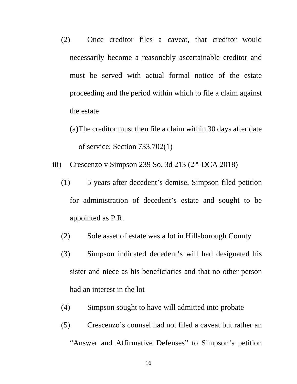- (2) Once creditor files a caveat, that creditor would necessarily become a reasonably ascertainable creditor and must be served with actual formal notice of the estate proceeding and the period within which to file a claim against the estate
	- (a)The creditor must then file a claim within 30 days after date of service; Section 733.702(1)
- iii) Crescenzo v Simpson 239 So. 3d 213  $(2<sup>nd</sup> DCA 2018)$ 
	- (1) 5 years after decedent's demise, Simpson filed petition for administration of decedent's estate and sought to be appointed as P.R.
	- (2) Sole asset of estate was a lot in Hillsborough County
	- (3) Simpson indicated decedent's will had designated his sister and niece as his beneficiaries and that no other person had an interest in the lot
	- (4) Simpson sought to have will admitted into probate
	- (5) Crescenzo's counsel had not filed a caveat but rather an "Answer and Affirmative Defenses" to Simpson's petition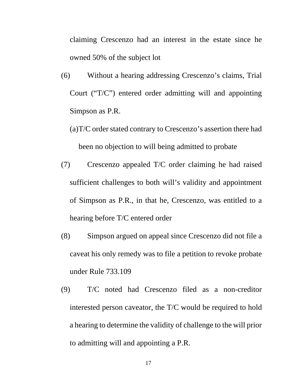claiming Crescenzo had an interest in the estate since he owned 50% of the subject lot

- (6) Without a hearing addressing Crescenzo's claims, Trial Court ("T/C") entered order admitting will and appointing Simpson as P.R.
	- (a)T/C order stated contrary to Crescenzo's assertion there had been no objection to will being admitted to probate
- (7) Crescenzo appealed T/C order claiming he had raised sufficient challenges to both will's validity and appointment of Simpson as P.R., in that he, Crescenzo, was entitled to a hearing before T/C entered order
- (8) Simpson argued on appeal since Crescenzo did not file a caveat his only remedy was to file a petition to revoke probate under Rule 733.109
- (9) T/C noted had Crescenzo filed as a non-creditor interested person caveator, the T/C would be required to hold a hearing to determine the validity of challenge to the will prior to admitting will and appointing a P.R.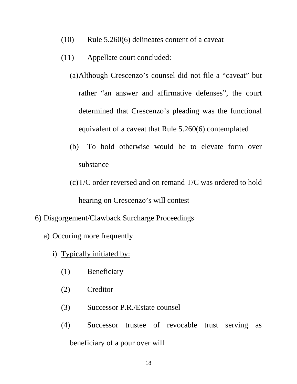- (10) Rule 5.260(6) delineates content of a caveat
- (11) Appellate court concluded:
	- (a)Although Crescenzo's counsel did not file a "caveat" but rather "an answer and affirmative defenses", the court determined that Crescenzo's pleading was the functional equivalent of a caveat that Rule 5.260(6) contemplated
	- (b) To hold otherwise would be to elevate form over substance
	- (c)T/C order reversed and on remand T/C was ordered to hold hearing on Crescenzo's will contest
- 6) Disgorgement/Clawback Surcharge Proceedings
	- a) Occuring more frequently
		- i) Typically initiated by:
			- (1) Beneficiary
			- (2) Creditor
			- (3) Successor P.R./Estate counsel
			- (4) Successor trustee of revocable trust serving as beneficiary of a pour over will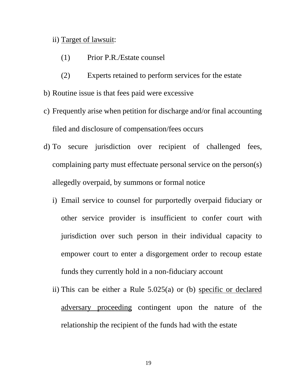### ii) Target of lawsuit:

- (1) Prior P.R./Estate counsel
- (2) Experts retained to perform services for the estate
- b) Routine issue is that fees paid were excessive
- c) Frequently arise when petition for discharge and/or final accounting filed and disclosure of compensation/fees occurs
- d) To secure jurisdiction over recipient of challenged fees, complaining party must effectuate personal service on the person(s) allegedly overpaid, by summons or formal notice
	- i) Email service to counsel for purportedly overpaid fiduciary or other service provider is insufficient to confer court with jurisdiction over such person in their individual capacity to empower court to enter a disgorgement order to recoup estate funds they currently hold in a non-fiduciary account
	- ii) This can be either a Rule 5.025(a) or (b) specific or declared adversary proceeding contingent upon the nature of the relationship the recipient of the funds had with the estate

19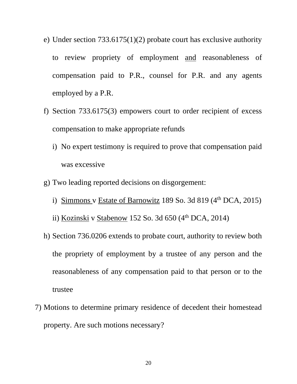- e) Under section 733.6175(1)(2) probate court has exclusive authority to review propriety of employment and reasonableness of compensation paid to P.R., counsel for P.R. and any agents employed by a P.R.
- f) Section 733.6175(3) empowers court to order recipient of excess compensation to make appropriate refunds
	- i) No expert testimony is required to prove that compensation paid was excessive
- g) Two leading reported decisions on disgorgement:
	- i) Simmons v Estate of Barnowitz 189 So. 3d 819  $(4<sup>th</sup> DCA, 2015)$
	- ii) Kozinski v Stabenow 152 So. 3d  $650 \, (4^{\text{th}}$  DCA, 2014)
- h) Section 736.0206 extends to probate court, authority to review both the propriety of employment by a trustee of any person and the reasonableness of any compensation paid to that person or to the trustee
- 7) Motions to determine primary residence of decedent their homestead property. Are such motions necessary?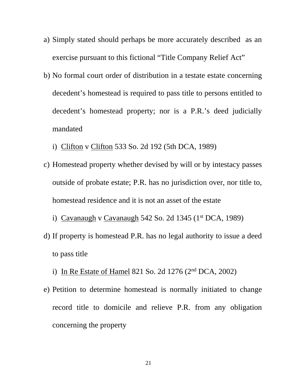- a) Simply stated should perhaps be more accurately described as an exercise pursuant to this fictional "Title Company Relief Act"
- b) No formal court order of distribution in a testate estate concerning decedent's homestead is required to pass title to persons entitled to decedent's homestead property; nor is a P.R.'s deed judicially mandated
	- i) Clifton v Clifton 533 So. 2d 192 (5th DCA, 1989)
- c) Homestead property whether devised by will or by intestacy passes outside of probate estate; P.R. has no jurisdiction over, nor title to, homestead residence and it is not an asset of the estate
	- i) Cavanaugh v Cavanaugh 542 So. 2d 1345  $(1<sup>st</sup> DCA, 1989)$
- d) If property is homestead P.R. has no legal authority to issue a deed to pass title
	- i) In Re Estate of Hamel 821 So. 2d 1276  $(2<sup>nd</sup> DCA, 2002)$
- e) Petition to determine homestead is normally initiated to change record title to domicile and relieve P.R. from any obligation concerning the property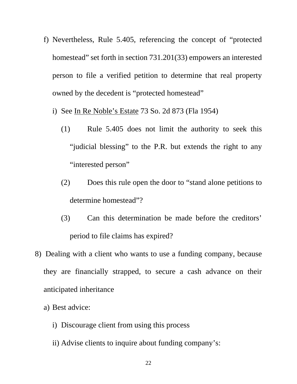- f) Nevertheless, Rule 5.405, referencing the concept of "protected homestead" set forth in section 731.201(33) empowers an interested person to file a verified petition to determine that real property owned by the decedent is "protected homestead"
	- i) See In Re Noble's Estate 73 So. 2d 873 (Fla 1954)
		- (1) Rule 5.405 does not limit the authority to seek this "judicial blessing" to the P.R. but extends the right to any "interested person"
		- (2) Does this rule open the door to "stand alone petitions to determine homestead"?
		- (3) Can this determination be made before the creditors' period to file claims has expired?
- 8) Dealing with a client who wants to use a funding company, because they are financially strapped, to secure a cash advance on their anticipated inheritance
	- a) Best advice:
		- i) Discourage client from using this process
		- ii) Advise clients to inquire about funding company's: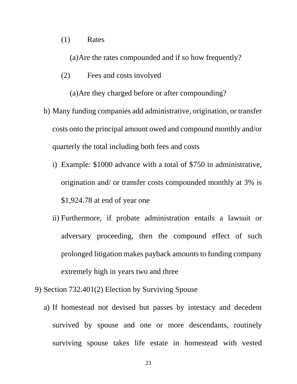### (1) Rates

(a)Are the rates compounded and if so how frequently?

(2) Fees and costs involved

(a)Are they charged before or after compounding?

- b) Many funding companies add administrative, origination, or transfer costs onto the principal amount owed and compound monthly and/or quarterly the total including both fees and costs
	- i) Example: \$1000 advance with a total of \$750 in administrative, origination and/ or transfer costs compounded monthly at 3% is \$1,924.78 at end of year one
	- ii) Furthermore, if probate administration entails a lawsuit or adversary proceeding, then the compound effect of such prolonged litigation makes payback amounts to funding company extremely high in years two and three
- 9) Section 732.401(2) Election by Surviving Spouse
	- a) If homestead not devised but passes by intestacy and decedent survived by spouse and one or more descendants, routinely surviving spouse takes life estate in homestead with vested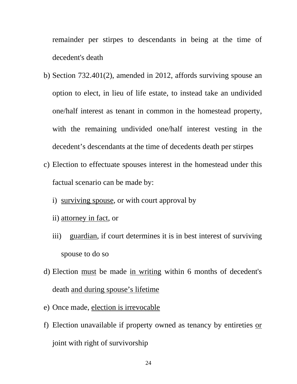remainder per stirpes to descendants in being at the time of decedent's death

- b) Section 732.401(2), amended in 2012, affords surviving spouse an option to elect, in lieu of life estate, to instead take an undivided one/half interest as tenant in common in the homestead property, with the remaining undivided one/half interest vesting in the decedent's descendants at the time of decedents death per stirpes
- c) Election to effectuate spouses interest in the homestead under this factual scenario can be made by:
	- i) surviving spouse, or with court approval by
	- ii) attorney in fact, or
	- iii) guardian, if court determines it is in best interest of surviving spouse to do so
- d) Election must be made in writing within 6 months of decedent's death and during spouse's lifetime
- e) Once made, election is irrevocable
- f) Election unavailable if property owned as tenancy by entireties or joint with right of survivorship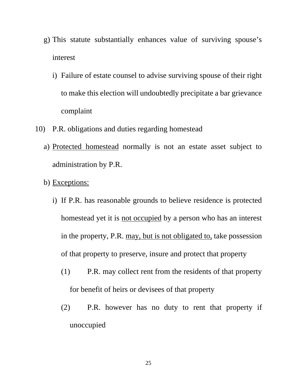- g) This statute substantially enhances value of surviving spouse's interest
	- i) Failure of estate counsel to advise surviving spouse of their right to make this election will undoubtedly precipitate a bar grievance complaint
- 10) P.R. obligations and duties regarding homestead
	- a) Protected homestead normally is not an estate asset subject to administration by P.R.
	- b) Exceptions:
		- i) If P.R. has reasonable grounds to believe residence is protected homestead yet it is not occupied by a person who has an interest in the property, P.R. may, but is not obligated to, take possession of that property to preserve, insure and protect that property
			- (1) P.R. may collect rent from the residents of that property for benefit of heirs or devisees of that property
			- (2) P.R. however has no duty to rent that property if unoccupied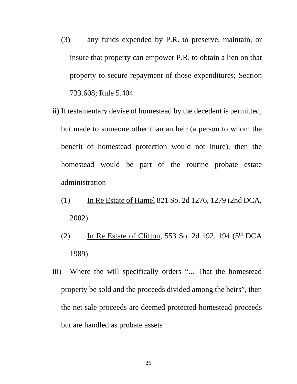- (3) any funds expended by P.R. to preserve, maintain, or insure that property can empower P.R. to obtain a lien on that property to secure repayment of those expenditures; Section 733.608; Rule 5.404
- ii) If testamentary devise of homestead by the decedent is permitted, but made to someone other than an heir (a person to whom the benefit of homestead protection would not inure), then the homestead would be part of the routine probate estate administration
	- (1) In Re Estate of Hamel 821 So. 2d 1276, 1279 (2nd DCA, 2002)
	- (2) In Re Estate of Clifton, 553 So. 2d 192, 194  $(5<sup>th</sup> DCA)$ 1989)
- iii) Where the will specifically orders "... That the homestead property be sold and the proceeds divided among the heirs", then the net sale proceeds are deemed protected homestead proceeds but are handled as probate assets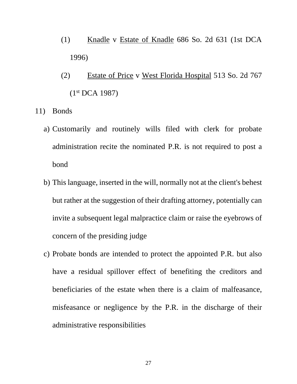- (1) Knadle v Estate of Knadle 686 So. 2d 631 (1st DCA 1996)
- (2) Estate of Price v West Florida Hospital 513 So. 2d 767  $(1<sup>st</sup> DCA 1987)$
- 11) Bonds
	- a) Customarily and routinely wills filed with clerk for probate administration recite the nominated P.R. is not required to post a bond
	- b) This language, inserted in the will, normally not at the client's behest but rather at the suggestion of their drafting attorney, potentially can invite a subsequent legal malpractice claim or raise the eyebrows of concern of the presiding judge
	- c) Probate bonds are intended to protect the appointed P.R. but also have a residual spillover effect of benefiting the creditors and beneficiaries of the estate when there is a claim of malfeasance, misfeasance or negligence by the P.R. in the discharge of their administrative responsibilities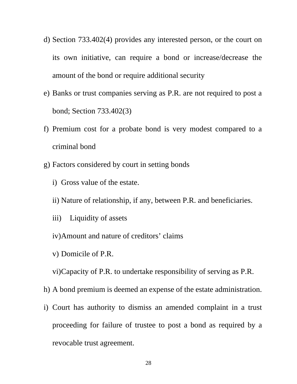- d) Section 733.402(4) provides any interested person, or the court on its own initiative, can require a bond or increase/decrease the amount of the bond or require additional security
- e) Banks or trust companies serving as P.R. are not required to post a bond; Section 733.402(3)
- f) Premium cost for a probate bond is very modest compared to a criminal bond
- g) Factors considered by court in setting bonds
	- i) Gross value of the estate.
	- ii) Nature of relationship, if any, between P.R. and beneficiaries.
	- iii) Liquidity of assets
	- iv)Amount and nature of creditors' claims
	- v) Domicile of P.R.

vi)Capacity of P.R. to undertake responsibility of serving as P.R.

- h) A bond premium is deemed an expense of the estate administration.
- i) Court has authority to dismiss an amended complaint in a trust proceeding for failure of trustee to post a bond as required by a revocable trust agreement.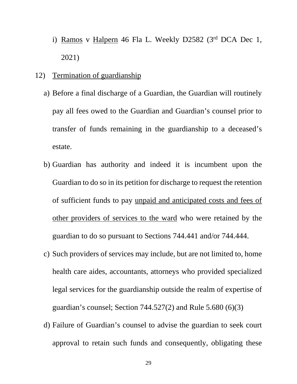- i) Ramos v Halpern 46 Fla L. Weekly D2582 (3rd DCA Dec 1, 2021)
- 12) Termination of guardianship
	- a) Before a final discharge of a Guardian, the Guardian will routinely pay all fees owed to the Guardian and Guardian's counsel prior to transfer of funds remaining in the guardianship to a deceased's estate.
	- b) Guardian has authority and indeed it is incumbent upon the Guardian to do so in its petition for discharge to request the retention of sufficient funds to pay unpaid and anticipated costs and fees of other providers of services to the ward who were retained by the guardian to do so pursuant to Sections 744.441 and/or 744.444.
	- c) Such providers of services may include, but are not limited to, home health care aides, accountants, attorneys who provided specialized legal services for the guardianship outside the realm of expertise of guardian's counsel; Section 744.527(2) and Rule 5.680 (6)(3)
	- d) Failure of Guardian's counsel to advise the guardian to seek court approval to retain such funds and consequently, obligating these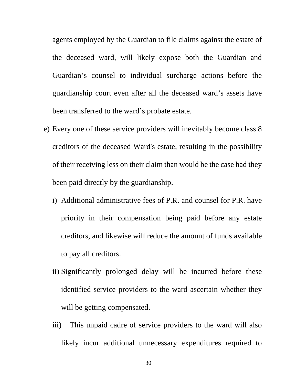agents employed by the Guardian to file claims against the estate of the deceased ward, will likely expose both the Guardian and Guardian's counsel to individual surcharge actions before the guardianship court even after all the deceased ward's assets have been transferred to the ward's probate estate.

- e) Every one of these service providers will inevitably become class 8 creditors of the deceased Ward's estate, resulting in the possibility of their receiving less on their claim than would be the case had they been paid directly by the guardianship.
	- i) Additional administrative fees of P.R. and counsel for P.R. have priority in their compensation being paid before any estate creditors, and likewise will reduce the amount of funds available to pay all creditors.
	- ii) Significantly prolonged delay will be incurred before these identified service providers to the ward ascertain whether they will be getting compensated.
	- iii) This unpaid cadre of service providers to the ward will also likely incur additional unnecessary expenditures required to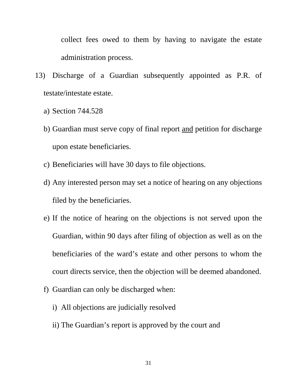collect fees owed to them by having to navigate the estate administration process.

- 13) Discharge of a Guardian subsequently appointed as P.R. of testate/intestate estate.
	- a) Section 744.528
	- b) Guardian must serve copy of final report and petition for discharge upon estate beneficiaries.
	- c) Beneficiaries will have 30 days to file objections.
	- d) Any interested person may set a notice of hearing on any objections filed by the beneficiaries.
	- e) If the notice of hearing on the objections is not served upon the Guardian, within 90 days after filing of objection as well as on the beneficiaries of the ward's estate and other persons to whom the court directs service, then the objection will be deemed abandoned.
	- f) Guardian can only be discharged when:
		- i) All objections are judicially resolved
		- ii) The Guardian's report is approved by the court and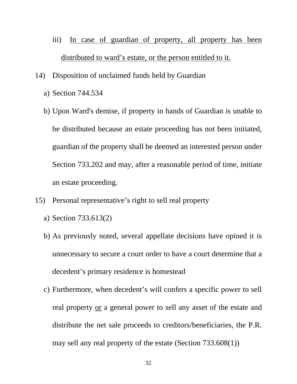- iii) In case of guardian of property, all property has been distributed to ward's estate, or the person entitled to it.
- 14) Disposition of unclaimed funds held by Guardian
	- a) Section 744.534
	- b) Upon Ward's demise, if property in hands of Guardian is unable to be distributed because an estate proceeding has not been initiated, guardian of the property shall be deemed an interested person under Section 733.202 and may, after a reasonable period of time, initiate an estate proceeding.
- 15) Personal representative's right to sell real property
	- a) Section 733.613(2)
	- b) As previously noted, several appellate decisions have opined it is unnecessary to secure a court order to have a court determine that a decedent's primary residence is homestead
	- c) Furthermore, when decedent's will confers a specific power to sell real property or a general power to sell any asset of the estate and distribute the net sale proceeds to creditors/beneficiaries, the P.R. may sell any real property of the estate (Section 733.608(1))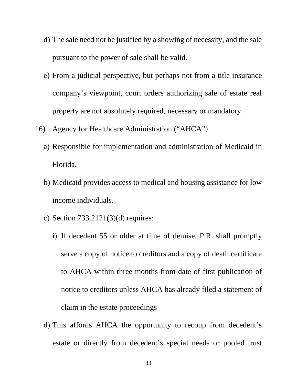- d) The sale need not be justified by a showing of necessity, and the sale pursuant to the power of sale shall be valid.
- e) From a judicial perspective, but perhaps not from a title insurance company's viewpoint, court orders authorizing sale of estate real property are not absolutely required, necessary or mandatory.
- 16) Agency for Healthcare Administration ("AHCA")
	- a) Responsible for implementation and administration of Medicaid in Florida.
	- b) Medicaid provides access to medical and housing assistance for low income individuals.
	- c) Section 733.2121(3)(d) requires:
		- i) If decedent 55 or older at time of demise, P.R. shall promptly serve a copy of notice to creditors and a copy of death certificate to AHCA within three months from date of first publication of notice to creditors unless AHCA has already filed a statement of claim in the estate proceedings
	- d) This affords AHCA the opportunity to recoup from decedent's estate or directly from decedent's special needs or pooled trust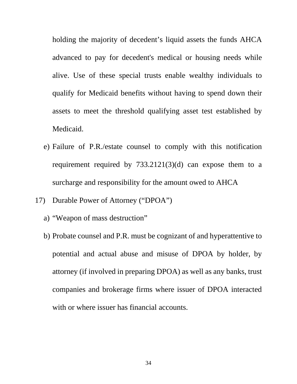holding the majority of decedent's liquid assets the funds AHCA advanced to pay for decedent's medical or housing needs while alive. Use of these special trusts enable wealthy individuals to qualify for Medicaid benefits without having to spend down their assets to meet the threshold qualifying asset test established by Medicaid.

- e) Failure of P.R./estate counsel to comply with this notification requirement required by 733.2121(3)(d) can expose them to a surcharge and responsibility for the amount owed to AHCA
- 17) Durable Power of Attorney ("DPOA")
	- a) "Weapon of mass destruction"
	- b) Probate counsel and P.R. must be cognizant of and hyperattentive to potential and actual abuse and misuse of DPOA by holder, by attorney (if involved in preparing DPOA) as well as any banks, trust companies and brokerage firms where issuer of DPOA interacted with or where issuer has financial accounts.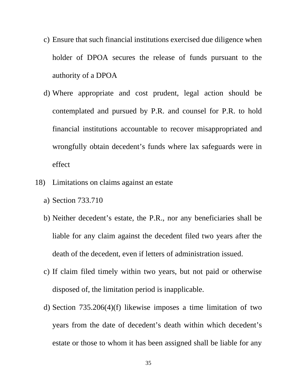- c) Ensure that such financial institutions exercised due diligence when holder of DPOA secures the release of funds pursuant to the authority of a DPOA
- d) Where appropriate and cost prudent, legal action should be contemplated and pursued by P.R. and counsel for P.R. to hold financial institutions accountable to recover misappropriated and wrongfully obtain decedent's funds where lax safeguards were in effect
- 18) Limitations on claims against an estate
	- a) Section 733.710
	- b) Neither decedent's estate, the P.R., nor any beneficiaries shall be liable for any claim against the decedent filed two years after the death of the decedent, even if letters of administration issued.
	- c) If claim filed timely within two years, but not paid or otherwise disposed of, the limitation period is inapplicable.
	- d) Section 735.206(4)(f) likewise imposes a time limitation of two years from the date of decedent's death within which decedent's estate or those to whom it has been assigned shall be liable for any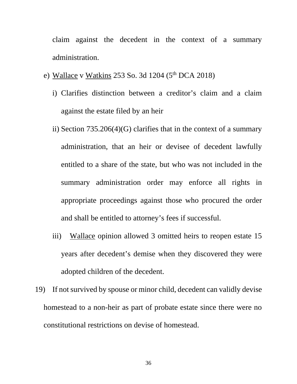claim against the decedent in the context of a summary administration.

- e) Wallace v Watkins 253 So. 3d 1204 ( $5<sup>th</sup>$  DCA 2018)
	- i) Clarifies distinction between a creditor's claim and a claim against the estate filed by an heir
	- ii) Section 735.206(4)(G) clarifies that in the context of a summary administration, that an heir or devisee of decedent lawfully entitled to a share of the state, but who was not included in the summary administration order may enforce all rights in appropriate proceedings against those who procured the order and shall be entitled to attorney's fees if successful.
	- iii) Wallace opinion allowed 3 omitted heirs to reopen estate 15 years after decedent's demise when they discovered they were adopted children of the decedent.
- 19) If not survived by spouse or minor child, decedent can validly devise homestead to a non-heir as part of probate estate since there were no constitutional restrictions on devise of homestead.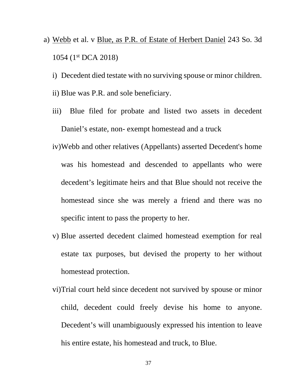- a) Webb et al. v Blue, as P.R. of Estate of Herbert Daniel 243 So. 3d 1054 (1st DCA 2018)
	- i) Decedent died testate with no surviving spouse or minor children.
	- ii) Blue was P.R. and sole beneficiary.
	- iii) Blue filed for probate and listed two assets in decedent Daniel's estate, non- exempt homestead and a truck
	- iv)Webb and other relatives (Appellants) asserted Decedent's home was his homestead and descended to appellants who were decedent's legitimate heirs and that Blue should not receive the homestead since she was merely a friend and there was no specific intent to pass the property to her.
	- v) Blue asserted decedent claimed homestead exemption for real estate tax purposes, but devised the property to her without homestead protection.
	- vi)Trial court held since decedent not survived by spouse or minor child, decedent could freely devise his home to anyone. Decedent's will unambiguously expressed his intention to leave his entire estate, his homestead and truck, to Blue.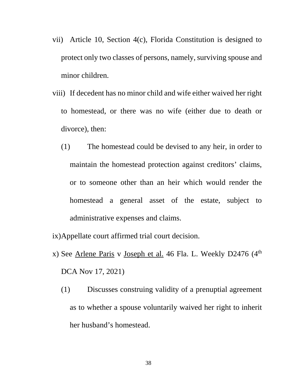- vii) Article 10, Section 4(c), Florida Constitution is designed to protect only two classes of persons, namely, surviving spouse and minor children.
- viii) If decedent has no minor child and wife either waived her right to homestead, or there was no wife (either due to death or divorce), then:
	- (1) The homestead could be devised to any heir, in order to maintain the homestead protection against creditors' claims, or to someone other than an heir which would render the homestead a general asset of the estate, subject to administrative expenses and claims.
- ix)Appellate court affirmed trial court decision.
- x) See Arlene Paris v Joseph et al. 46 Fla. L. Weekly D2476 (4<sup>th</sup> DCA Nov 17, 2021)
	- (1) Discusses construing validity of a prenuptial agreement as to whether a spouse voluntarily waived her right to inherit her husband's homestead.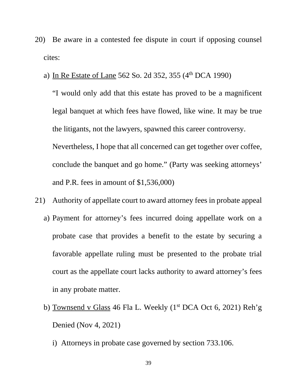- 20) Be aware in a contested fee dispute in court if opposing counsel cites:
	- a) In Re Estate of Lane 562 So. 2d 352, 355  $(4<sup>th</sup> DCA 1990)$

"I would only add that this estate has proved to be a magnificent legal banquet at which fees have flowed, like wine. It may be true the litigants, not the lawyers, spawned this career controversy. Nevertheless, I hope that all concerned can get together over coffee, conclude the banquet and go home." (Party was seeking attorneys' and P.R. fees in amount of \$1,536,000)

- 21) Authority of appellate court to award attorney fees in probate appeal
	- a) Payment for attorney's fees incurred doing appellate work on a probate case that provides a benefit to the estate by securing a favorable appellate ruling must be presented to the probate trial court as the appellate court lacks authority to award attorney's fees in any probate matter.
	- b) Townsend v Glass 46 Fla L. Weekly  $(1<sup>st</sup> DCA Oct 6, 2021)$  Reh'g Denied (Nov 4, 2021)
		- i) Attorneys in probate case governed by section 733.106.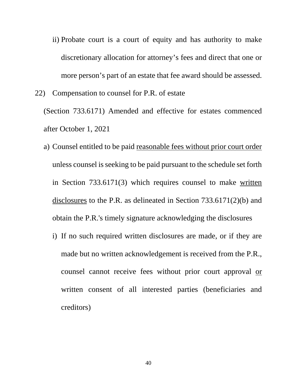- ii) Probate court is a court of equity and has authority to make discretionary allocation for attorney's fees and direct that one or more person's part of an estate that fee award should be assessed.
- 22) Compensation to counsel for P.R. of estate

(Section 733.6171) Amended and effective for estates commenced after October 1, 2021

- a) Counsel entitled to be paid reasonable fees without prior court order unless counsel is seeking to be paid pursuant to the schedule set forth in Section 733.6171(3) which requires counsel to make written disclosures to the P.R. as delineated in Section 733.6171(2)(b) and obtain the P.R.'s timely signature acknowledging the disclosures
	- i) If no such required written disclosures are made, or if they are made but no written acknowledgement is received from the P.R., counsel cannot receive fees without prior court approval or written consent of all interested parties (beneficiaries and creditors)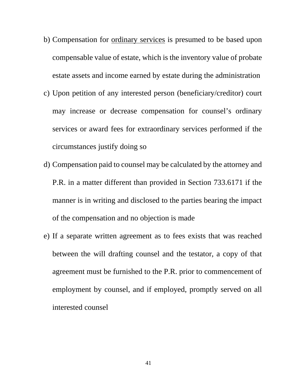- b) Compensation for ordinary services is presumed to be based upon compensable value of estate, which is the inventory value of probate estate assets and income earned by estate during the administration
- c) Upon petition of any interested person (beneficiary/creditor) court may increase or decrease compensation for counsel's ordinary services or award fees for extraordinary services performed if the circumstances justify doing so
- d) Compensation paid to counsel may be calculated by the attorney and P.R. in a matter different than provided in Section 733.6171 if the manner is in writing and disclosed to the parties bearing the impact of the compensation and no objection is made
- e) If a separate written agreement as to fees exists that was reached between the will drafting counsel and the testator, a copy of that agreement must be furnished to the P.R. prior to commencement of employment by counsel, and if employed, promptly served on all interested counsel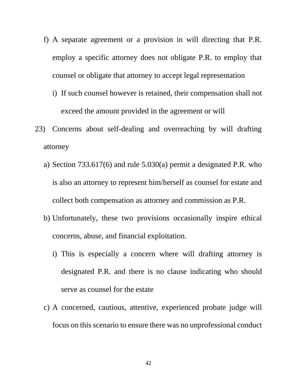- f) A separate agreement or a provision in will directing that P.R. employ a specific attorney does not obligate P.R. to employ that counsel or obligate that attorney to accept legal representation
	- i) If such counsel however is retained, their compensation shall not exceed the amount provided in the agreement or will
- 23) Concerns about self-dealing and overreaching by will drafting attorney
	- a) Section 733.617(6) and rule 5.030(a) permit a designated P.R. who is also an attorney to represent him/herself as counsel for estate and collect both compensation as attorney and commission as P.R.
	- b) Unfortunately, these two provisions occasionally inspire ethical concerns, abuse, and financial exploitation.
		- i) This is especially a concern where will drafting attorney is designated P.R. and there is no clause indicating who should serve as counsel for the estate
	- c) A concerned, cautious, attentive, experienced probate judge will focus on this scenario to ensure there was no unprofessional conduct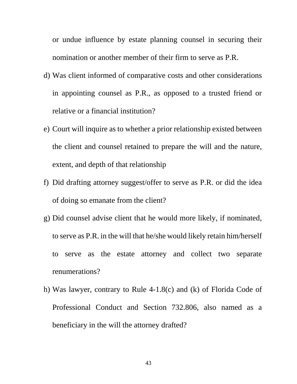or undue influence by estate planning counsel in securing their nomination or another member of their firm to serve as P.R.

- d) Was client informed of comparative costs and other considerations in appointing counsel as P.R., as opposed to a trusted friend or relative or a financial institution?
- e) Court will inquire as to whether a prior relationship existed between the client and counsel retained to prepare the will and the nature, extent, and depth of that relationship
- f) Did drafting attorney suggest/offer to serve as P.R. or did the idea of doing so emanate from the client?
- g) Did counsel advise client that he would more likely, if nominated, to serve as P.R. in the will that he/she would likely retain him/herself to serve as the estate attorney and collect two separate renumerations?
- h) Was lawyer, contrary to Rule 4-1.8(c) and (k) of Florida Code of Professional Conduct and Section 732.806, also named as a beneficiary in the will the attorney drafted?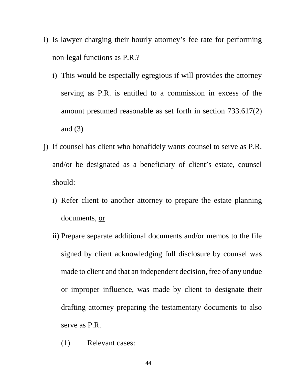- i) Is lawyer charging their hourly attorney's fee rate for performing non-legal functions as P.R.?
	- i) This would be especially egregious if will provides the attorney serving as P.R. is entitled to a commission in excess of the amount presumed reasonable as set forth in section 733.617(2) and  $(3)$
- j) If counsel has client who bonafidely wants counsel to serve as P.R. and/or be designated as a beneficiary of client's estate, counsel should:
	- i) Refer client to another attorney to prepare the estate planning documents, or
	- ii) Prepare separate additional documents and/or memos to the file signed by client acknowledging full disclosure by counsel was made to client and that an independent decision, free of any undue or improper influence, was made by client to designate their drafting attorney preparing the testamentary documents to also serve as P.R.
		- (1) Relevant cases: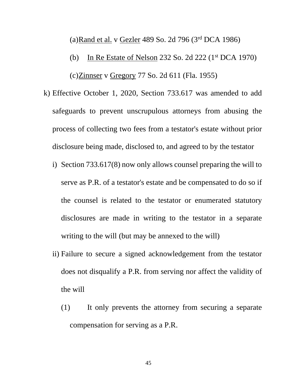(a)Rand et al. v Gezler 489 So. 2d 796 (3rd DCA 1986)

- (b) In Re Estate of Nelson 232 So. 2d 222 (1st DCA 1970) (c)Zinnser v Gregory 77 So. 2d 611 (Fla. 1955)
- k) Effective October 1, 2020, Section 733.617 was amended to add safeguards to prevent unscrupulous attorneys from abusing the process of collecting two fees from a testator's estate without prior disclosure being made, disclosed to, and agreed to by the testator
	- i) Section 733.617(8) now only allows counsel preparing the will to serve as P.R. of a testator's estate and be compensated to do so if the counsel is related to the testator or enumerated statutory disclosures are made in writing to the testator in a separate writing to the will (but may be annexed to the will)
	- ii) Failure to secure a signed acknowledgement from the testator does not disqualify a P.R. from serving nor affect the validity of the will
		- (1) It only prevents the attorney from securing a separate compensation for serving as a P.R.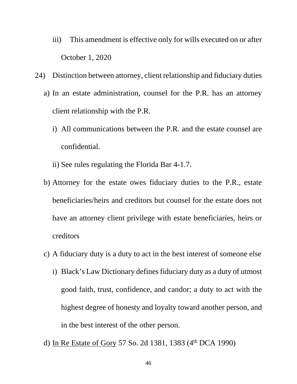- iii) This amendment is effective only for wills executed on or after October 1, 2020
- 24) Distinction between attorney, client relationship and fiduciary duties
	- a) In an estate administration, counsel for the P.R. has an attorney client relationship with the P.R.
		- i) All communications between the P.R. and the estate counsel are confidential.
		- ii) See rules regulating the Florida Bar 4-1.7.
	- b) Attorney for the estate owes fiduciary duties to the P.R., estate beneficiaries/heirs and creditors but counsel for the estate does not have an attorney client privilege with estate beneficiaries, heirs or creditors
	- c) A fiduciary duty is a duty to act in the best interest of someone else
		- i) Black's Law Dictionary defines fiduciary duty as a duty of utmost good faith, trust, confidence, and candor; a duty to act with the highest degree of honesty and loyalty toward another person, and in the best interest of the other person.
	- d) In Re Estate of Gory 57 So. 2d 1381, 1383 (4<sup>th</sup> DCA 1990)